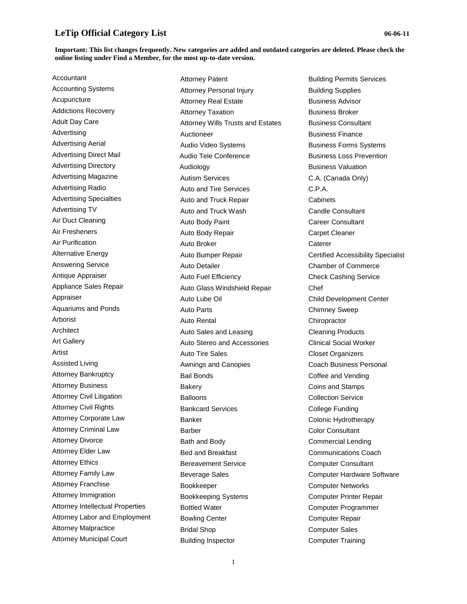#### **Important: This list changes frequently. New categories are added and outdated categories are deleted. Please check the online listing under Find a Member, for the most up-to-date version.**

Accountant Accounting Systems Acupuncture Addictions Recovery Adult Day Care Advertising Advertising Aerial Advertising Direct Mail Advertising Directory Advertising Magazine Advertising Radio Advertising Specialties Advertising TV Air Duct Cleaning Air Fresheners Air Purification Alternative Energy Answering Service Antique Appraiser Appliance Sales Repair Appraiser Aquariums and Ponds Arborist Architect Art Gallery Artist Assisted Living Attorney Bankruptcy Attorney Business Attorney Civil Litigation Attorney Civil Rights Attorney Corporate Law Attorney Criminal Law Attorney Divorce Attorney Elder Law Attorney Ethics Attorney Family Law Attorney Franchise Attorney Immigration Attorney Intellectual Properties Attorney Labor and Employment Attorney Malpractice Attorney Municipal Court

Attorney Patent Attorney Personal Injury Attorney Real Estate Attorney Taxation Attorney Wills Trusts and Estates Auctioneer Audio Video Systems Audio Tele Conference Audiology Autism Services Auto and Tire Services Auto and Truck Repair Auto and Truck Wash Auto Body Paint Auto Body Repair Auto Broker Auto Bumper Repair Auto Detailer Auto Fuel Efficiency Auto Glass Windshield Repair Auto Lube Oil Auto Parts Auto Rental Auto Sales and Leasing Auto Stereo and Accessories Auto Tire Sales Awnings and Canopies Bail Bonds **Bakery** Balloons Bankcard Services Banker Barber Bath and Body Bed and Breakfast Bereavement Service Beverage Sales Bookkeeper Bookkeeping Systems Bottled Water Bowling Center Bridal Shop Building Inspector

Building Permits Services Building Supplies Business Advisor Business Broker Business Consultant Business Finance Business Forms Systems Business Loss Prevention Business Valuation C.A. (Canada Only) C.P.A. **Cabinets** Candle Consultant Career Consultant Carpet Cleaner **Caterer** Certified Accessibility Specialist Chamber of Commerce Check Cashing Service Chef Child Development Center Chimney Sweep **Chiropractor** Cleaning Products Clinical Social Worker Closet Organizers Coach Business Personal Coffee and Vending Coins and Stamps Collection Service College Funding Colonic Hydrotherapy Color Consultant Commercial Lending Communications Coach Computer Consultant Computer Hardware Software Computer Networks Computer Printer Repair Computer Programmer Computer Repair Computer Sales Computer Training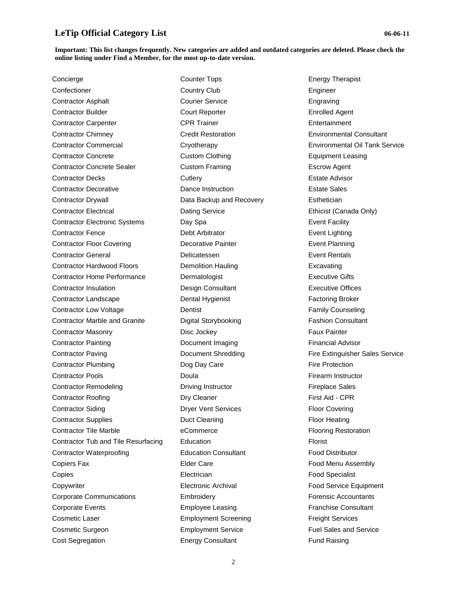### **Important: This list changes frequently. New categories are added and outdated categories are deleted. Please check the online listing under Find a Member, for the most up-to-date version.**

Counter Tops

Concierge Confectioner Contractor Asphalt Contractor Builder Contractor Carpenter Contractor Chimney Contractor Commercial Contractor Concrete Contractor Concrete Sealer Contractor Decks Contractor Decorative Contractor Drywall Contractor Electrical Contractor Electronic Systems Contractor Fence Contractor Floor Covering Contractor General Contractor Hardwood Floors Contractor Home Performance Contractor Insulation Contractor Landscape Contractor Low Voltage Contractor Marble and Granite Contractor Masonry Contractor Painting Contractor Paving Contractor Plumbing Contractor Pools Contractor Remodeling Contractor Roofing Contractor Siding Contractor Supplies Contractor Tile Marble Contractor Tub and Tile Resurfacing Contractor Waterproofing Copiers Fax Copies **Copywriter** Corporate Communications Corporate Events Cosmetic Laser Cosmetic Surgeon Cost Segregation

Country Club Courier Service Court Reporter CPR Trainer Credit Restoration **Cryotherapy** Custom Clothing Custom Framing **Cutlery** Dance Instruction Data Backup and Recovery Dating Service Day Spa Debt Arbitrator Decorative Painter Delicatessen Demolition Hauling Dermatologist Design Consultant Dental Hygienist Dentist Digital Storybooking Disc Jockey Document Imaging Document Shredding Dog Day Care Doula Driving Instructor Dry Cleaner Dryer Vent Services Duct Cleaning eCommerce Education Education Consultant Elder Care **Electrician** Electronic Archival **Embroidery** Employee Leasing Employment Screening Employment Service Energy Consultant

Energy Therapist Engineer Engraving Enrolled Agent Entertainment Environmental Consultant Environmental Oil Tank Service Equipment Leasing Escrow Agent Estate Advisor Estate Sales **Esthetician** Ethicist (Canada Only) Event Facility Event Lighting Event Planning Event Rentals Excavating Executive Gifts Executive Offices Factoring Broker Family Counseling Fashion Consultant Faux Painter Financial Advisor Fire Extinguisher Sales Service Fire Protection Firearm Instructor Fireplace Sales First Aid - CPR Floor Covering Floor Heating Flooring Restoration Florist Food Distributor Food Menu Assembly Food Specialist Food Service Equipment Forensic Accountants Franchise Consultant Freight Services Fuel Sales and Service Fund Raising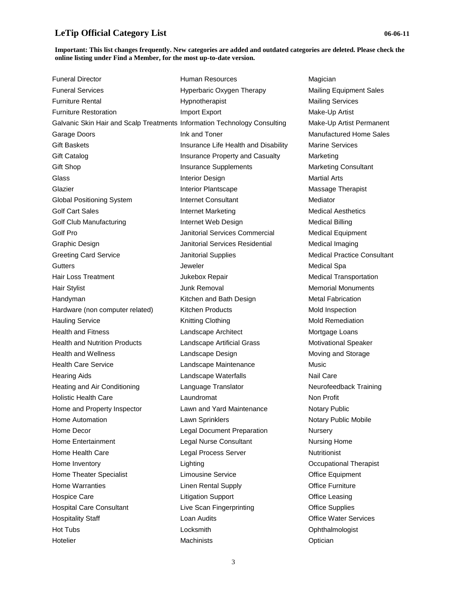| <b>Funeral Director</b>                                                   | Human Resources                      | Magician                          |
|---------------------------------------------------------------------------|--------------------------------------|-----------------------------------|
| <b>Funeral Services</b>                                                   | Hyperbaric Oxygen Therapy            | <b>Mailing Equipment Sales</b>    |
| <b>Furniture Rental</b>                                                   | Hypnotherapist                       | <b>Mailing Services</b>           |
| <b>Furniture Restoration</b>                                              | Import Export                        | Make-Up Artist                    |
| Galvanic Skin Hair and Scalp Treatments Information Technology Consulting |                                      | Make-Up Artist Permanent          |
| Garage Doors                                                              | Ink and Toner                        | <b>Manufactured Home Sales</b>    |
| <b>Gift Baskets</b>                                                       | Insurance Life Health and Disability | <b>Marine Services</b>            |
| Gift Catalog                                                              | Insurance Property and Casualty      | Marketing                         |
| Gift Shop                                                                 | Insurance Supplements                | <b>Marketing Consultant</b>       |
| Glass                                                                     | Interior Design                      | <b>Martial Arts</b>               |
| Glazier                                                                   | Interior Plantscape                  | Massage Therapist                 |
| Global Positioning System                                                 | <b>Internet Consultant</b>           | Mediator                          |
| <b>Golf Cart Sales</b>                                                    | <b>Internet Marketing</b>            | <b>Medical Aesthetics</b>         |
| Golf Club Manufacturing                                                   | Internet Web Design                  | <b>Medical Billing</b>            |
| Golf Pro                                                                  | Janitorial Services Commercial       | <b>Medical Equipment</b>          |
| Graphic Design                                                            | Janitorial Services Residential      | Medical Imaging                   |
| <b>Greeting Card Service</b>                                              | <b>Janitorial Supplies</b>           | <b>Medical Practice Consultar</b> |
| Gutters                                                                   | Jeweler                              | <b>Medical Spa</b>                |
| <b>Hair Loss Treatment</b>                                                | Jukebox Repair                       | <b>Medical Transportation</b>     |
| Hair Stylist                                                              | Junk Removal                         | <b>Memorial Monuments</b>         |
| Handyman                                                                  | Kitchen and Bath Design              | <b>Metal Fabrication</b>          |
| Hardware (non computer related)                                           | Kitchen Products                     | Mold Inspection                   |
| <b>Hauling Service</b>                                                    | Knitting Clothing                    | <b>Mold Remediation</b>           |
| <b>Health and Fitness</b>                                                 | Landscape Architect                  | Mortgage Loans                    |
| <b>Health and Nutrition Products</b>                                      | Landscape Artificial Grass           | Motivational Speaker              |
| <b>Health and Wellness</b>                                                | Landscape Design                     | Moving and Storage                |
| <b>Health Care Service</b>                                                | Landscape Maintenance                | Music                             |
| <b>Hearing Aids</b>                                                       | Landscape Waterfalls                 | Nail Care                         |
| Heating and Air Conditioning                                              | Language Translator                  | Neurofeedback Training            |
| <b>Holistic Health Care</b>                                               | Laundromat                           | Non Profit                        |
| Home and Property Inspector                                               | Lawn and Yard Maintenance            | Notary Public                     |
| Home Automation                                                           | Lawn Sprinklers                      | Notary Public Mobile              |
| Home Decor                                                                | <b>Legal Document Preparation</b>    | Nursery                           |
| Home Entertainment                                                        | Legal Nurse Consultant               | <b>Nursing Home</b>               |
| Home Health Care                                                          | Legal Process Server                 | Nutritionist                      |
| Home Inventory                                                            | Lighting                             | Occupational Therapist            |
| Home Theater Specialist                                                   | Limousine Service                    | Office Equipment                  |
| Home Warranties                                                           | <b>Linen Rental Supply</b>           | <b>Office Furniture</b>           |
| <b>Hospice Care</b>                                                       | <b>Litigation Support</b>            | <b>Office Leasing</b>             |
| <b>Hospital Care Consultant</b>                                           | Live Scan Fingerprinting             | <b>Office Supplies</b>            |
| <b>Hospitality Staff</b>                                                  | Loan Audits                          | <b>Office Water Services</b>      |
| Hot Tubs                                                                  | Locksmith                            | Ophthalmologist                   |
| Hotelier                                                                  | Machinists                           | Optician                          |

Consultant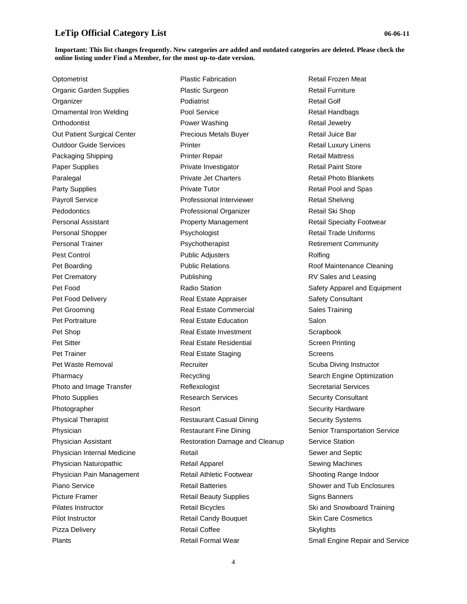### **Important: This list changes frequently. New categories are added and outdated categories are deleted. Please check the online listing under Find a Member, for the most up-to-date version.**

**Optometrist** Organic Garden Supplies **Organizer** Ornamental Iron Welding **Orthodontist** Out Patient Surgical Center Outdoor Guide Services Packaging Shipping Paper Supplies Paralegal Party Supplies Payroll Service **Pedodontics** Personal Assistant Personal Shopper Personal Trainer Pest Control Pet Boarding Pet Crematory Pet Food Pet Food Delivery Pet Grooming Pet Portraiture Pet Shop Pet Sitter Pet Trainer Pet Waste Removal Pharmacy Photo and Image Transfer Photo Supplies Photographer Physical Therapist Physician Physician Assistant Physician Internal Medicine Physician Naturopathic Physician Pain Management Piano Service Picture Framer Pilates Instructor Pilot Instructor Pizza Delivery Plants

Plastic Fabrication Plastic Surgeon Podiatrist Pool Service Power Washing Precious Metals Buyer **Printer** Printer Repair Private Investigator Private Jet Charters Private Tutor Professional Interviewer Professional Organizer Property Management Psychologist Psychotherapist Public Adjusters Public Relations Publishing Radio Station Real Estate Appraiser Real Estate Commercial Real Estate Education Real Estate Investment Real Estate Residential Real Estate Staging **Recruiter** Recycling Reflexologist Research Services Resort Restaurant Casual Dining Restaurant Fine Dining Restoration Damage and Cleanup Retail Retail Apparel Retail Athletic Footwear Retail Batteries Retail Beauty Supplies Retail Bicycles Retail Candy Bouquet Retail Coffee Retail Formal Wear

Retail Frozen Meat Retail Furniture Retail Golf Retail Handbags Retail Jewelry Retail Juice Bar Retail Luxury Linens Retail Mattress Retail Paint Store Retail Photo Blankets Retail Pool and Spas Retail Shelving Retail Ski Shop Retail Specialty Footwear Retail Trade Uniforms Retirement Community Rolfing Roof Maintenance Cleaning RV Sales and Leasing Safety Apparel and Equipment Safety Consultant Sales Training Salon **Scrapbook** Screen Printing **Screens** Scuba Diving Instructor Search Engine Optimization Secretarial Services Security Consultant Security Hardware Security Systems Senior Transportation Service Service Station Sewer and Septic Sewing Machines Shooting Range Indoor Shower and Tub Enclosures Signs Banners Ski and Snowboard Training Skin Care Cosmetics **Skylights** Small Engine Repair and Service